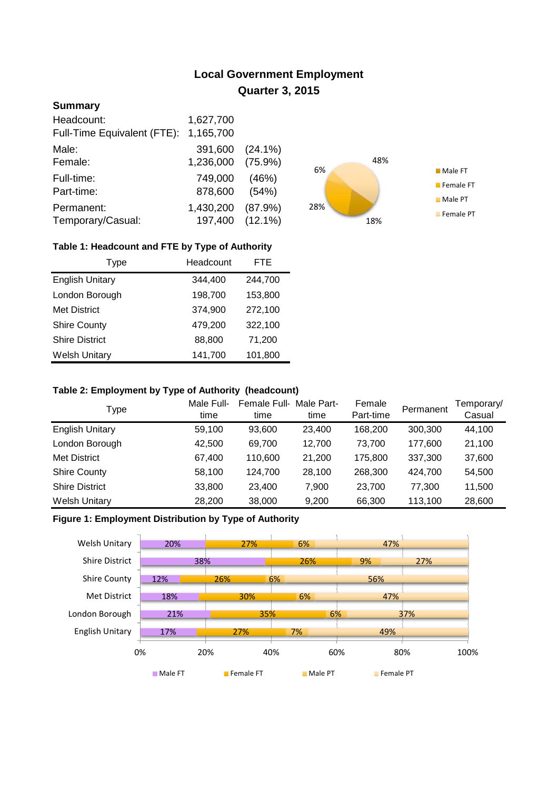# **Local Government Employment Quarter 3, 2015**

## **Summary**

| Headcount:                  | 1,627,700 |            |
|-----------------------------|-----------|------------|
| Full-Time Equivalent (FTE): | 1,165,700 |            |
| Male:                       | 391,600   | $(24.1\%)$ |
| Female:                     | 1,236,000 | $(75.9\%)$ |
| Full-time:                  | 749,000   | (46%)      |
| Part-time:                  | 878,600   | (54%)      |
| Permanent:                  | 1,430,200 | (87.9%)    |
| Temporary/Casual:           | 197,400   | $(12.1\%)$ |



# **Table 1: Headcount and FTE by Type of Authority**

| <b>Type</b>            | Headcount | FTE     |
|------------------------|-----------|---------|
| <b>English Unitary</b> | 344,400   | 244,700 |
| London Borough         | 198,700   | 153,800 |
| <b>Met District</b>    | 374,900   | 272,100 |
| <b>Shire County</b>    | 479,200   | 322,100 |
| <b>Shire District</b>  | 88,800    | 71,200  |
| <b>Welsh Unitary</b>   | 141,700   | 101,800 |

#### **Table 2: Employment by Type of Authority (headcount)**

| Type                   | Male Full-<br>time | Female Full-<br>time | Male Part-<br>time | Female<br>Part-time | Permanent | Temporary/<br>Casual |
|------------------------|--------------------|----------------------|--------------------|---------------------|-----------|----------------------|
| <b>English Unitary</b> | 59,100             | 93,600               | 23,400             | 168,200             | 300,300   | 44,100               |
| London Borough         | 42,500             | 69.700               | 12.700             | 73.700              | 177,600   | 21,100               |
| Met District           | 67,400             | 110,600              | 21,200             | 175.800             | 337,300   | 37,600               |
| <b>Shire County</b>    | 58,100             | 124,700              | 28,100             | 268,300             | 424,700   | 54,500               |
| <b>Shire District</b>  | 33,800             | 23.400               | 7.900              | 23,700              | 77.300    | 11,500               |
| <b>Welsh Unitary</b>   | 28,200             | 38,000               | 9,200              | 66,300              | 113,100   | 28,600               |

## **Figure 1: Employment Distribution by Type of Authority**